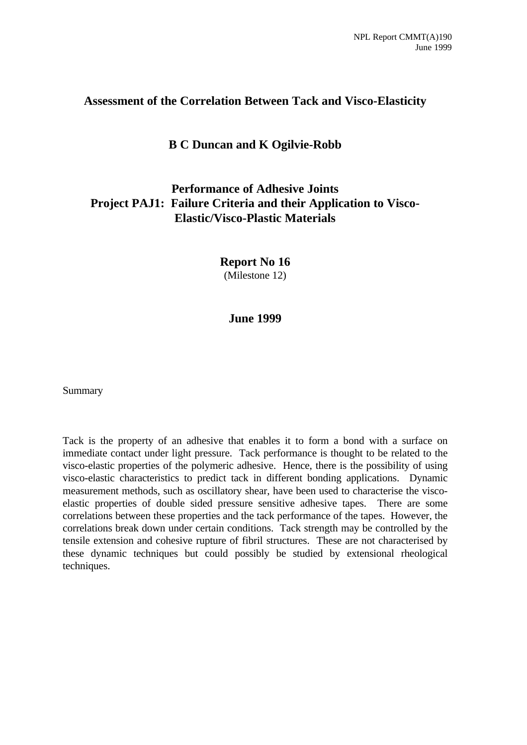## **Assessment of the Correlation Between Tack and Visco-Elasticity**

## **B C Duncan and K Ogilvie-Robb**

## **Performance of Adhesive Joints Project PAJ1: Failure Criteria and their Application to Visco-Elastic/Visco-Plastic Materials**

**Report No 16** (Milestone 12)

**June 1999**

Summary

Tack is the property of an adhesive that enables it to form a bond with a surface on immediate contact under light pressure. Tack performance is thought to be related to the visco-elastic properties of the polymeric adhesive. Hence, there is the possibility of using visco-elastic characteristics to predict tack in different bonding applications. Dynamic measurement methods, such as oscillatory shear, have been used to characterise the viscoelastic properties of double sided pressure sensitive adhesive tapes. There are some correlations between these properties and the tack performance of the tapes. However, the correlations break down under certain conditions. Tack strength may be controlled by the tensile extension and cohesive rupture of fibril structures. These are not characterised by these dynamic techniques but could possibly be studied by extensional rheological techniques.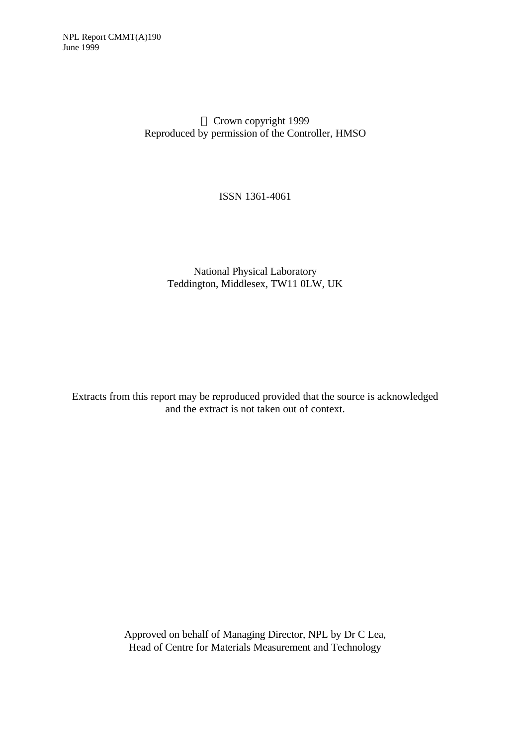## Crown copyright 1999 Reproduced by permission of the Controller, HMSO

ISSN 1361-4061

## National Physical Laboratory Teddington, Middlesex, TW11 0LW, UK

Extracts from this report may be reproduced provided that the source is acknowledged and the extract is not taken out of context.

> Approved on behalf of Managing Director, NPL by Dr C Lea, Head of Centre for Materials Measurement and Technology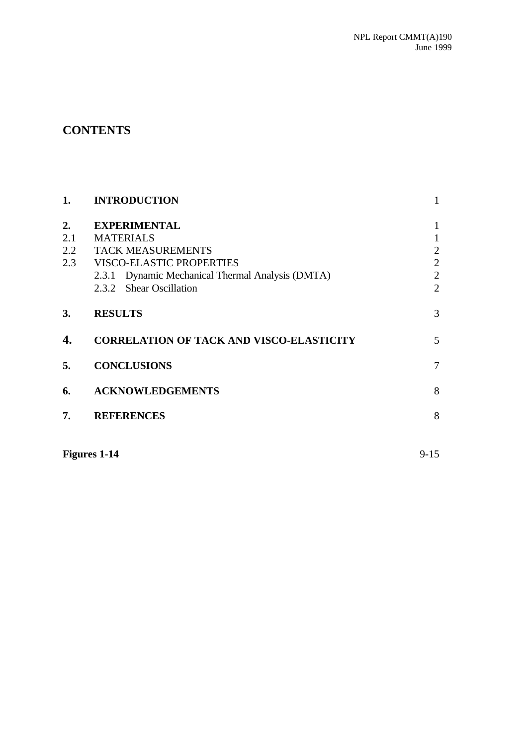# **CONTENTS**

| 1.  | <b>INTRODUCTION</b>                                 | $\mathbf{1}$   |  |  |
|-----|-----------------------------------------------------|----------------|--|--|
| 2.  | <b>EXPERIMENTAL</b>                                 | 1              |  |  |
| 2.1 | <b>MATERIALS</b>                                    |                |  |  |
| 2.2 | <b>TACK MEASUREMENTS</b>                            | $\overline{2}$ |  |  |
| 2.3 | VISCO-ELASTIC PROPERTIES                            |                |  |  |
|     | Dynamic Mechanical Thermal Analysis (DMTA)<br>2.3.1 | $\overline{2}$ |  |  |
|     | 2.3.2 Shear Oscillation                             | $\overline{2}$ |  |  |
| 3.  | <b>RESULTS</b>                                      | 3              |  |  |
| 4.  | <b>CORRELATION OF TACK AND VISCO-ELASTICITY</b>     | 5              |  |  |
| 5.  | <b>CONCLUSIONS</b>                                  | 7              |  |  |
| 6.  | <b>ACKNOWLEDGEMENTS</b>                             | 8              |  |  |
| 7.  | <b>REFERENCES</b>                                   | 8              |  |  |
|     |                                                     |                |  |  |

**Figures 1-14** 9-15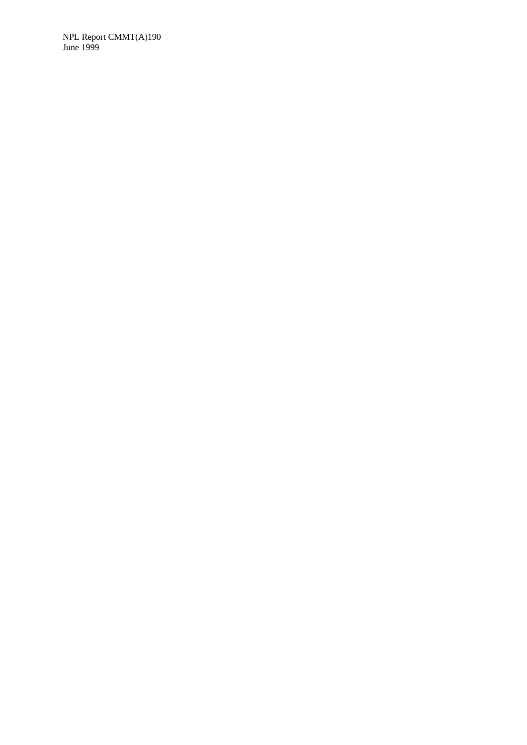NPL Report CMMT(A)190 June 1999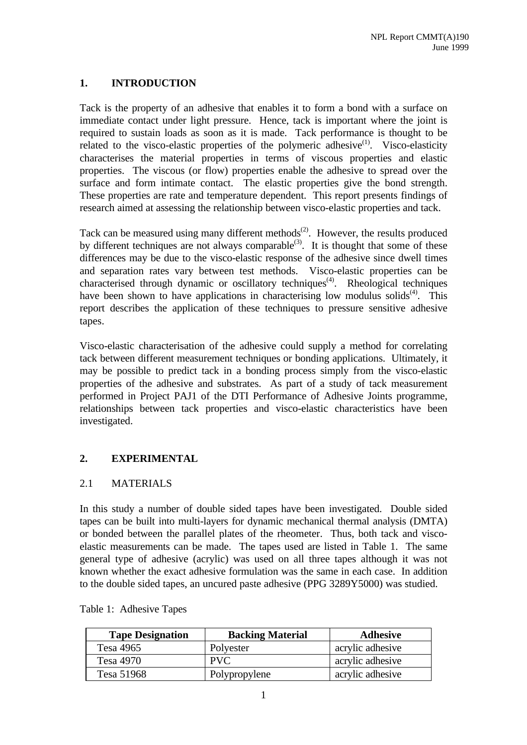## **1. INTRODUCTION**

Tack is the property of an adhesive that enables it to form a bond with a surface on immediate contact under light pressure. Hence, tack is important where the joint is required to sustain loads as soon as it is made. Tack performance is thought to be related to the visco-elastic properties of the polymeric adhesive<sup>(1)</sup>. Visco-elasticity characterises the material properties in terms of viscous properties and elastic properties. The viscous (or flow) properties enable the adhesive to spread over the surface and form intimate contact. The elastic properties give the bond strength. These properties are rate and temperature dependent. This report presents findings of research aimed at assessing the relationship between visco-elastic properties and tack.

Tack can be measured using many different methods<sup> $(2)$ </sup>. However, the results produced by different techniques are not always comparable<sup>(3)</sup>. It is thought that some of these differences may be due to the visco-elastic response of the adhesive since dwell times and separation rates vary between test methods. Visco-elastic properties can be characterised through dynamic or oscillatory techniques<sup> $(4)$ </sup>. Rheological techniques have been shown to have applications in characterising low modulus solids<sup> $(4)$ </sup>. This report describes the application of these techniques to pressure sensitive adhesive tapes.

Visco-elastic characterisation of the adhesive could supply a method for correlating tack between different measurement techniques or bonding applications. Ultimately, it may be possible to predict tack in a bonding process simply from the visco-elastic properties of the adhesive and substrates. As part of a study of tack measurement performed in Project PAJ1 of the DTI Performance of Adhesive Joints programme, relationships between tack properties and visco-elastic characteristics have been investigated.

## **2. EXPERIMENTAL**

## 2.1 MATERIALS

In this study a number of double sided tapes have been investigated. Double sided tapes can be built into multi-layers for dynamic mechanical thermal analysis (DMTA) or bonded between the parallel plates of the rheometer. Thus, both tack and viscoelastic measurements can be made. The tapes used are listed in Table 1. The same general type of adhesive (acrylic) was used on all three tapes although it was not known whether the exact adhesive formulation was the same in each case. In addition to the double sided tapes, an uncured paste adhesive (PPG 3289Y5000) was studied.

| <b>Tape Designation</b> | <b>Backing Material</b> | <b>Adhesive</b>  |  |  |
|-------------------------|-------------------------|------------------|--|--|
| Tesa 4965               | Polyester               | acrylic adhesive |  |  |
| Tesa 4970               | PVC.                    | acrylic adhesive |  |  |
| Tesa 51968              | Polypropylene           | acrylic adhesive |  |  |

Table 1: Adhesive Tapes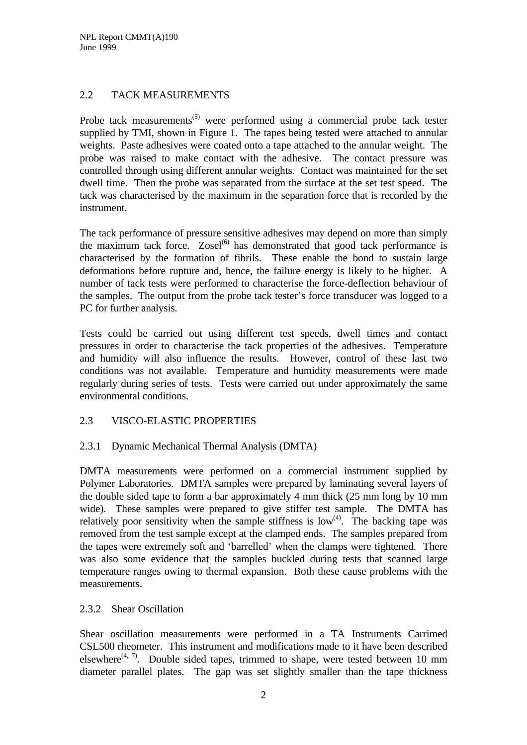## 2.2 TACK MEASUREMENTS

Probe tack measurements<sup>(5)</sup> were performed using a commercial probe tack tester supplied by TMI, shown in Figure 1. The tapes being tested were attached to annular weights. Paste adhesives were coated onto a tape attached to the annular weight. The probe was raised to make contact with the adhesive. The contact pressure was controlled through using different annular weights. Contact was maintained for the set dwell time. Then the probe was separated from the surface at the set test speed. The tack was characterised by the maximum in the separation force that is recorded by the instrument.

The tack performance of pressure sensitive adhesives may depend on more than simply the maximum tack force. Zosel $^{(6)}$  has demonstrated that good tack performance is characterised by the formation of fibrils. These enable the bond to sustain large deformations before rupture and, hence, the failure energy is likely to be higher. A number of tack tests were performed to characterise the force-deflection behaviour of the samples. The output from the probe tack tester's force transducer was logged to a PC for further analysis.

Tests could be carried out using different test speeds, dwell times and contact pressures in order to characterise the tack properties of the adhesives. Temperature and humidity will also influence the results. However, control of these last two conditions was not available. Temperature and humidity measurements were made regularly during series of tests. Tests were carried out under approximately the same environmental conditions.

## 2.3 VISCO-ELASTIC PROPERTIES

## 2.3.1 Dynamic Mechanical Thermal Analysis (DMTA)

DMTA measurements were performed on a commercial instrument supplied by Polymer Laboratories. DMTA samples were prepared by laminating several layers of the double sided tape to form a bar approximately 4 mm thick (25 mm long by 10 mm wide). These samples were prepared to give stiffer test sample. The DMTA has relatively poor sensitivity when the sample stiffness is  $low<sup>(4)</sup>$ . The backing tape was removed from the test sample except at the clamped ends. The samples prepared from the tapes were extremely soft and 'barrelled' when the clamps were tightened. There was also some evidence that the samples buckled during tests that scanned large temperature ranges owing to thermal expansion. Both these cause problems with the measurements.

## 2.3.2 Shear Oscillation

Shear oscillation measurements were performed in a TA Instruments Carrimed CSL500 rheometer. This instrument and modifications made to it have been described elsewhere<sup> $(4, 7)$ </sup>. Double sided tapes, trimmed to shape, were tested between 10 mm diameter parallel plates. The gap was set slightly smaller than the tape thickness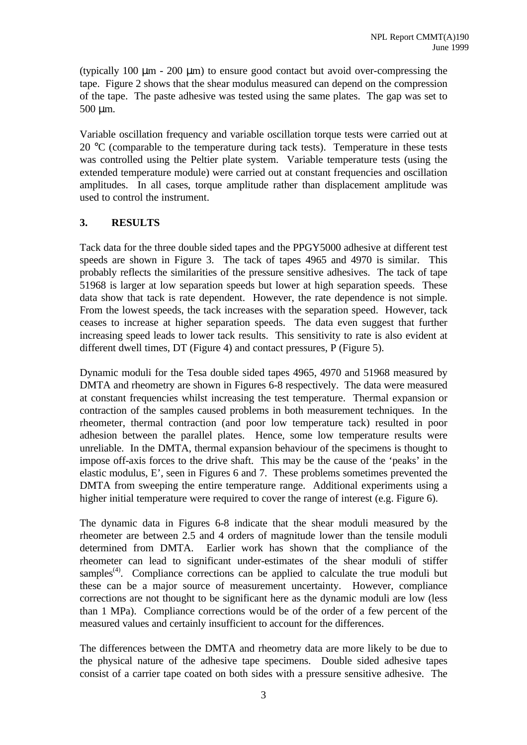(typically 100 μm - 200 μm) to ensure good contact but avoid over-compressing the tape. Figure 2 shows that the shear modulus measured can depend on the compression of the tape. The paste adhesive was tested using the same plates. The gap was set to 500 μm.

Variable oscillation frequency and variable oscillation torque tests were carried out at 20  $\degree$ C (comparable to the temperature during tack tests). Temperature in these tests was controlled using the Peltier plate system. Variable temperature tests (using the extended temperature module) were carried out at constant frequencies and oscillation amplitudes. In all cases, torque amplitude rather than displacement amplitude was used to control the instrument.

#### **3. RESULTS**

Tack data for the three double sided tapes and the PPGY5000 adhesive at different test speeds are shown in Figure 3. The tack of tapes 4965 and 4970 is similar. This probably reflects the similarities of the pressure sensitive adhesives. The tack of tape 51968 is larger at low separation speeds but lower at high separation speeds. These data show that tack is rate dependent. However, the rate dependence is not simple. From the lowest speeds, the tack increases with the separation speed. However, tack ceases to increase at higher separation speeds. The data even suggest that further increasing speed leads to lower tack results. This sensitivity to rate is also evident at different dwell times, DT (Figure 4) and contact pressures, P (Figure 5).

Dynamic moduli for the Tesa double sided tapes 4965, 4970 and 51968 measured by DMTA and rheometry are shown in Figures 6-8 respectively. The data were measured at constant frequencies whilst increasing the test temperature. Thermal expansion or contraction of the samples caused problems in both measurement techniques. In the rheometer, thermal contraction (and poor low temperature tack) resulted in poor adhesion between the parallel plates. Hence, some low temperature results were unreliable. In the DMTA, thermal expansion behaviour of the specimens is thought to impose off-axis forces to the drive shaft. This may be the cause of the 'peaks' in the elastic modulus, E', seen in Figures 6 and 7. These problems sometimes prevented the DMTA from sweeping the entire temperature range. Additional experiments using a higher initial temperature were required to cover the range of interest (e.g. Figure 6).

The dynamic data in Figures 6-8 indicate that the shear moduli measured by the rheometer are between 2.5 and 4 orders of magnitude lower than the tensile moduli determined from DMTA. Earlier work has shown that the compliance of the rheometer can lead to significant under-estimates of the shear moduli of stiffer samples<sup>(4)</sup>. Compliance corrections can be applied to calculate the true moduli but these can be a major source of measurement uncertainty. However, compliance corrections are not thought to be significant here as the dynamic moduli are low (less than 1 MPa). Compliance corrections would be of the order of a few percent of the measured values and certainly insufficient to account for the differences.

The differences between the DMTA and rheometry data are more likely to be due to the physical nature of the adhesive tape specimens. Double sided adhesive tapes consist of a carrier tape coated on both sides with a pressure sensitive adhesive. The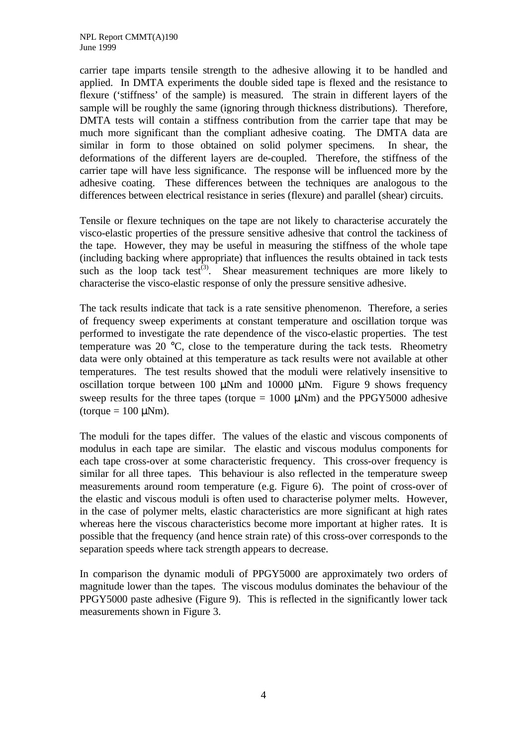carrier tape imparts tensile strength to the adhesive allowing it to be handled and applied. In DMTA experiments the double sided tape is flexed and the resistance to flexure ('stiffness' of the sample) is measured. The strain in different layers of the sample will be roughly the same (ignoring through thickness distributions). Therefore, DMTA tests will contain a stiffness contribution from the carrier tape that may be much more significant than the compliant adhesive coating. The DMTA data are similar in form to those obtained on solid polymer specimens. In shear, the deformations of the different layers are de-coupled. Therefore, the stiffness of the carrier tape will have less significance. The response will be influenced more by the adhesive coating. These differences between the techniques are analogous to the differences between electrical resistance in series (flexure) and parallel (shear) circuits.

Tensile or flexure techniques on the tape are not likely to characterise accurately the visco-elastic properties of the pressure sensitive adhesive that control the tackiness of the tape. However, they may be useful in measuring the stiffness of the whole tape (including backing where appropriate) that influences the results obtained in tack tests such as the loop tack test<sup>(3)</sup>. Shear measurement techniques are more likely to characterise the visco-elastic response of only the pressure sensitive adhesive.

The tack results indicate that tack is a rate sensitive phenomenon. Therefore, a series of frequency sweep experiments at constant temperature and oscillation torque was performed to investigate the rate dependence of the visco-elastic properties. The test temperature was 20 °C, close to the temperature during the tack tests. Rheometry data were only obtained at this temperature as tack results were not available at other temperatures. The test results showed that the moduli were relatively insensitive to oscillation torque between 100 μNm and 10000 μNm. Figure 9 shows frequency sweep results for the three tapes (torque =  $1000 \mu Nm$ ) and the PPGY5000 adhesive (torque  $= 100 \mu Nm$ ).

The moduli for the tapes differ. The values of the elastic and viscous components of modulus in each tape are similar. The elastic and viscous modulus components for each tape cross-over at some characteristic frequency. This cross-over frequency is similar for all three tapes. This behaviour is also reflected in the temperature sweep measurements around room temperature (e.g. Figure 6). The point of cross-over of the elastic and viscous moduli is often used to characterise polymer melts. However, in the case of polymer melts, elastic characteristics are more significant at high rates whereas here the viscous characteristics become more important at higher rates. It is possible that the frequency (and hence strain rate) of this cross-over corresponds to the separation speeds where tack strength appears to decrease.

In comparison the dynamic moduli of PPGY5000 are approximately two orders of magnitude lower than the tapes. The viscous modulus dominates the behaviour of the PPGY5000 paste adhesive (Figure 9). This is reflected in the significantly lower tack measurements shown in Figure 3.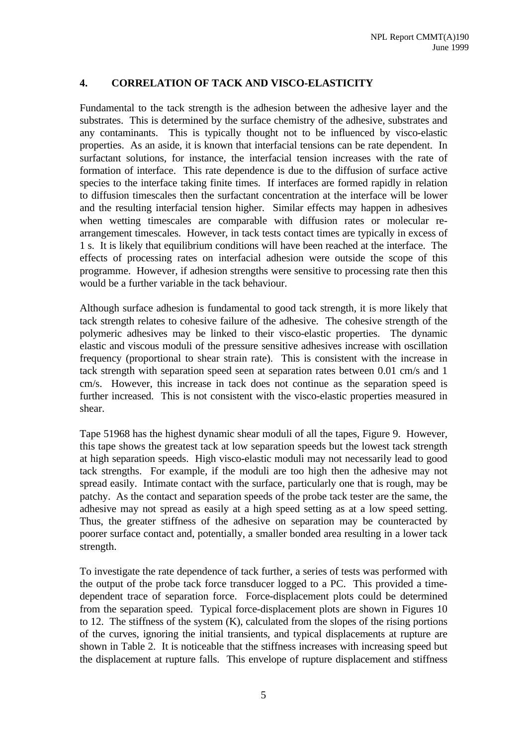## **4. CORRELATION OF TACK AND VISCO-ELASTICITY**

Fundamental to the tack strength is the adhesion between the adhesive layer and the substrates. This is determined by the surface chemistry of the adhesive, substrates and any contaminants. This is typically thought not to be influenced by visco-elastic properties. As an aside, it is known that interfacial tensions can be rate dependent. In surfactant solutions, for instance, the interfacial tension increases with the rate of formation of interface. This rate dependence is due to the diffusion of surface active species to the interface taking finite times. If interfaces are formed rapidly in relation to diffusion timescales then the surfactant concentration at the interface will be lower and the resulting interfacial tension higher. Similar effects may happen in adhesives when wetting timescales are comparable with diffusion rates or molecular rearrangement timescales. However, in tack tests contact times are typically in excess of 1 s. It is likely that equilibrium conditions will have been reached at the interface. The effects of processing rates on interfacial adhesion were outside the scope of this programme. However, if adhesion strengths were sensitive to processing rate then this would be a further variable in the tack behaviour.

Although surface adhesion is fundamental to good tack strength, it is more likely that tack strength relates to cohesive failure of the adhesive. The cohesive strength of the polymeric adhesives may be linked to their visco-elastic properties. The dynamic elastic and viscous moduli of the pressure sensitive adhesives increase with oscillation frequency (proportional to shear strain rate). This is consistent with the increase in tack strength with separation speed seen at separation rates between 0.01 cm/s and 1 cm/s. However, this increase in tack does not continue as the separation speed is further increased. This is not consistent with the visco-elastic properties measured in shear.

Tape 51968 has the highest dynamic shear moduli of all the tapes, Figure 9. However, this tape shows the greatest tack at low separation speeds but the lowest tack strength at high separation speeds. High visco-elastic moduli may not necessarily lead to good tack strengths. For example, if the moduli are too high then the adhesive may not spread easily. Intimate contact with the surface, particularly one that is rough, may be patchy. As the contact and separation speeds of the probe tack tester are the same, the adhesive may not spread as easily at a high speed setting as at a low speed setting. Thus, the greater stiffness of the adhesive on separation may be counteracted by poorer surface contact and, potentially, a smaller bonded area resulting in a lower tack strength.

To investigate the rate dependence of tack further, a series of tests was performed with the output of the probe tack force transducer logged to a PC. This provided a timedependent trace of separation force. Force-displacement plots could be determined from the separation speed. Typical force-displacement plots are shown in Figures 10 to 12. The stiffness of the system  $(K)$ , calculated from the slopes of the rising portions of the curves, ignoring the initial transients, and typical displacements at rupture are shown in Table 2. It is noticeable that the stiffness increases with increasing speed but the displacement at rupture falls. This envelope of rupture displacement and stiffness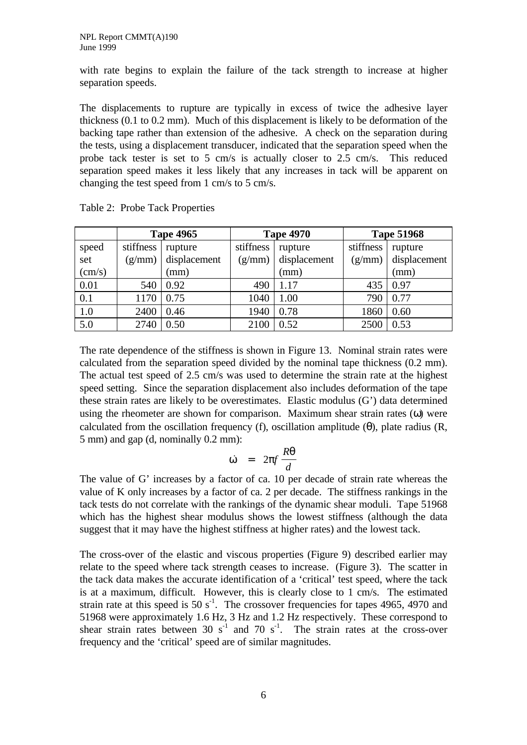with rate begins to explain the failure of the tack strength to increase at higher separation speeds.

The displacements to rupture are typically in excess of twice the adhesive layer thickness (0.1 to 0.2 mm). Much of this displacement is likely to be deformation of the backing tape rather than extension of the adhesive. A check on the separation during the tests, using a displacement transducer, indicated that the separation speed when the probe tack tester is set to 5 cm/s is actually closer to 2.5 cm/s. This reduced separation speed makes it less likely that any increases in tack will be apparent on changing the test speed from 1 cm/s to 5 cm/s.

|                 | <b>Tape 4965</b> |              | <b>Tape 4970</b> |              | <b>Tape 51968</b> |              |
|-----------------|------------------|--------------|------------------|--------------|-------------------|--------------|
| speed           | stiffness        | rupture      | stiffness        | rupture      | stiffness         | rupture      |
| set             | (g/mm)           | displacement | (g/mm)           | displacement | (g/mm)            | displacement |
| $\text{(cm/s)}$ |                  | (mm)         |                  | (mm)         |                   | (mm)         |
| 0.01            | 540              | 0.92         | 490              | 1.17         | 435               | 0.97         |
| 0.1             | 1170             | 0.75         | 1040             | 1.00         | 790               | 0.77         |
| 1.0             | 2400             | 0.46         | 1940             | 0.78         | 1860              | 0.60         |
| 5.0             | 2740             | 0.50         | 2100             | 0.52         | 2500              | 0.53         |

Table 2: Probe Tack Properties

The rate dependence of the stiffness is shown in Figure 13. Nominal strain rates were calculated from the separation speed divided by the nominal tape thickness (0.2 mm). The actual test speed of 2.5 cm/s was used to determine the strain rate at the highest speed setting. Since the separation displacement also includes deformation of the tape these strain rates are likely to be overestimates. Elastic modulus (G') data determined using the rheometer are shown for comparison. Maximum shear strain rates (ω) were calculated from the oscillation frequency (f), oscillation amplitude  $(\theta)$ , plate radius  $(R,$ 5 mm) and gap (d, nominally 0.2 mm):

$$
\dot{\mathbf{w}} = 2\mathbf{p}f \frac{R\mathbf{q}}{d}
$$

The value of G' increases by a factor of ca. 10 per decade of strain rate whereas the value of K only increases by a factor of ca. 2 per decade. The stiffness rankings in the tack tests do not correlate with the rankings of the dynamic shear moduli. Tape 51968 which has the highest shear modulus shows the lowest stiffness (although the data suggest that it may have the highest stiffness at higher rates) and the lowest tack.

The cross-over of the elastic and viscous properties (Figure 9) described earlier may relate to the speed where tack strength ceases to increase. (Figure 3). The scatter in the tack data makes the accurate identification of a 'critical' test speed, where the tack is at a maximum, difficult. However, this is clearly close to 1 cm/s. The estimated strain rate at this speed is  $50 s<sup>-1</sup>$ . The crossover frequencies for tapes 4965, 4970 and 51968 were approximately 1.6 Hz, 3 Hz and 1.2 Hz respectively. These correspond to shear strain rates between 30  $s^{-1}$  and 70  $s^{-1}$ . The strain rates at the cross-over frequency and the 'critical' speed are of similar magnitudes.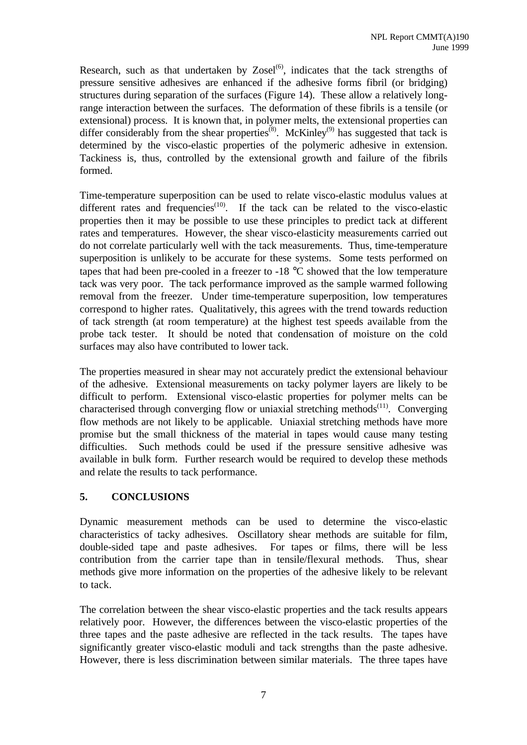Research, such as that undertaken by  $Zosel^{(6)}$ , indicates that the tack strengths of pressure sensitive adhesives are enhanced if the adhesive forms fibril (or bridging) structures during separation of the surfaces (Figure 14). These allow a relatively longrange interaction between the surfaces. The deformation of these fibrils is a tensile (or extensional) process. It is known that, in polymer melts, the extensional properties can differ considerably from the shear properties<sup>(8)</sup>. McKinley<sup>(9)</sup> has suggested that tack is determined by the visco-elastic properties of the polymeric adhesive in extension. Tackiness is, thus, controlled by the extensional growth and failure of the fibrils formed.

Time-temperature superposition can be used to relate visco-elastic modulus values at different rates and frequencies<sup> $(10)$ </sup>. If the tack can be related to the visco-elastic properties then it may be possible to use these principles to predict tack at different rates and temperatures. However, the shear visco-elasticity measurements carried out do not correlate particularly well with the tack measurements. Thus, time-temperature superposition is unlikely to be accurate for these systems. Some tests performed on tapes that had been pre-cooled in a freezer to -18 °C showed that the low temperature tack was very poor. The tack performance improved as the sample warmed following removal from the freezer. Under time-temperature superposition, low temperatures correspond to higher rates. Qualitatively, this agrees with the trend towards reduction of tack strength (at room temperature) at the highest test speeds available from the probe tack tester. It should be noted that condensation of moisture on the cold surfaces may also have contributed to lower tack.

The properties measured in shear may not accurately predict the extensional behaviour of the adhesive. Extensional measurements on tacky polymer layers are likely to be difficult to perform. Extensional visco-elastic properties for polymer melts can be characterised through converging flow or uniaxial stretching methods<sup> $(11)$ </sup>. Converging flow methods are not likely to be applicable. Uniaxial stretching methods have more promise but the small thickness of the material in tapes would cause many testing difficulties. Such methods could be used if the pressure sensitive adhesive was available in bulk form. Further research would be required to develop these methods and relate the results to tack performance.

## **5. CONCLUSIONS**

Dynamic measurement methods can be used to determine the visco-elastic characteristics of tacky adhesives. Oscillatory shear methods are suitable for film, double-sided tape and paste adhesives. For tapes or films, there will be less contribution from the carrier tape than in tensile/flexural methods. Thus, shear methods give more information on the properties of the adhesive likely to be relevant to tack.

The correlation between the shear visco-elastic properties and the tack results appears relatively poor. However, the differences between the visco-elastic properties of the three tapes and the paste adhesive are reflected in the tack results. The tapes have significantly greater visco-elastic moduli and tack strengths than the paste adhesive. However, there is less discrimination between similar materials. The three tapes have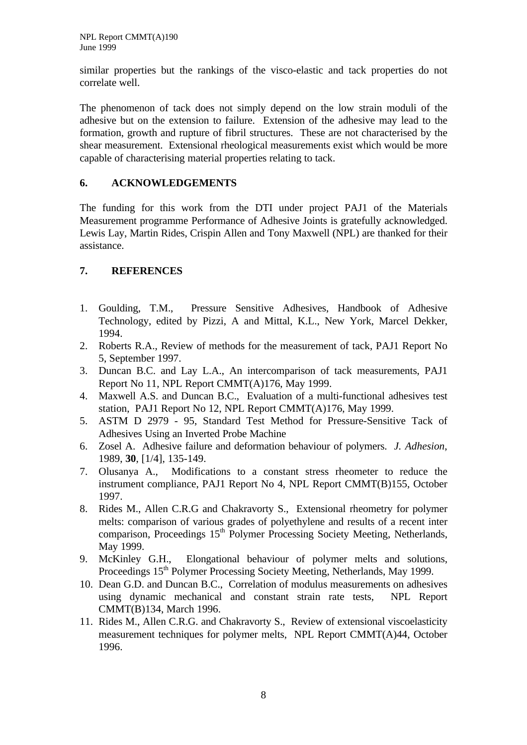similar properties but the rankings of the visco-elastic and tack properties do not correlate well.

The phenomenon of tack does not simply depend on the low strain moduli of the adhesive but on the extension to failure. Extension of the adhesive may lead to the formation, growth and rupture of fibril structures. These are not characterised by the shear measurement. Extensional rheological measurements exist which would be more capable of characterising material properties relating to tack.

## **6. ACKNOWLEDGEMENTS**

The funding for this work from the DTI under project PAJ1 of the Materials Measurement programme Performance of Adhesive Joints is gratefully acknowledged. Lewis Lay, Martin Rides, Crispin Allen and Tony Maxwell (NPL) are thanked for their assistance.

## **7. REFERENCES**

- 1. Goulding, T.M., Pressure Sensitive Adhesives, Handbook of Adhesive Technology, edited by Pizzi, A and Mittal, K.L., New York, Marcel Dekker, 1994.
- 2. Roberts R.A., Review of methods for the measurement of tack, PAJ1 Report No 5, September 1997.
- 3. Duncan B.C. and Lay L.A., An intercomparison of tack measurements, PAJ1 Report No 11, NPL Report CMMT(A)176, May 1999.
- 4. Maxwell A.S. and Duncan B.C., Evaluation of a multi-functional adhesives test station, PAJ1 Report No 12, NPL Report CMMT(A)176, May 1999.
- 5. ASTM D 2979 95, Standard Test Method for Pressure-Sensitive Tack of Adhesives Using an Inverted Probe Machine
- 6. Zosel A. Adhesive failure and deformation behaviour of polymers. *J. Adhesion*, 1989, **30**, [1/4], 135-149.
- 7. Olusanya A., Modifications to a constant stress rheometer to reduce the instrument compliance, PAJ1 Report No 4, NPL Report CMMT(B)155, October 1997.
- 8. Rides M., Allen C.R.G and Chakravorty S., Extensional rheometry for polymer melts: comparison of various grades of polyethylene and results of a recent inter comparison, Proceedings 15<sup>th</sup> Polymer Processing Society Meeting, Netherlands, May 1999.
- 9. McKinley G.H., Elongational behaviour of polymer melts and solutions, Proceedings 15<sup>th</sup> Polymer Processing Society Meeting, Netherlands, May 1999.
- 10. Dean G.D. and Duncan B.C., Correlation of modulus measurements on adhesives using dynamic mechanical and constant strain rate tests, NPL Report CMMT(B)134, March 1996.
- 11. Rides M., Allen C.R.G. and Chakravorty S., Review of extensional viscoelasticity measurement techniques for polymer melts, NPL Report CMMT(A)44, October 1996.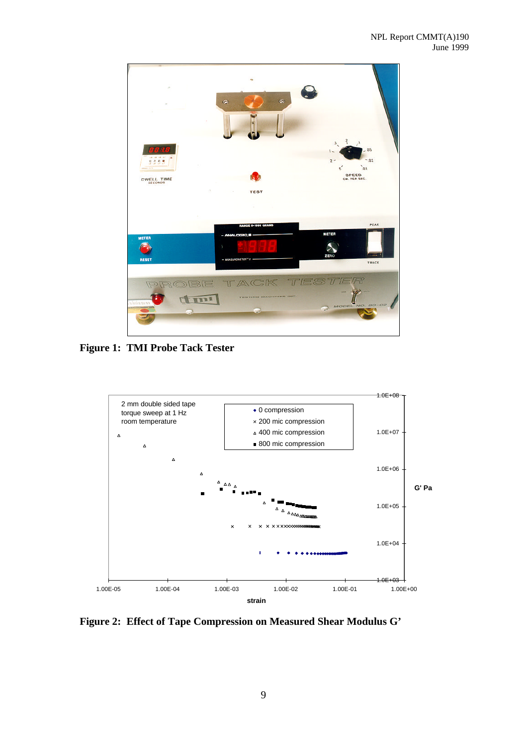

**Figure 1: TMI Probe Tack Tester**



**Figure 2: Effect of Tape Compression on Measured Shear Modulus G'**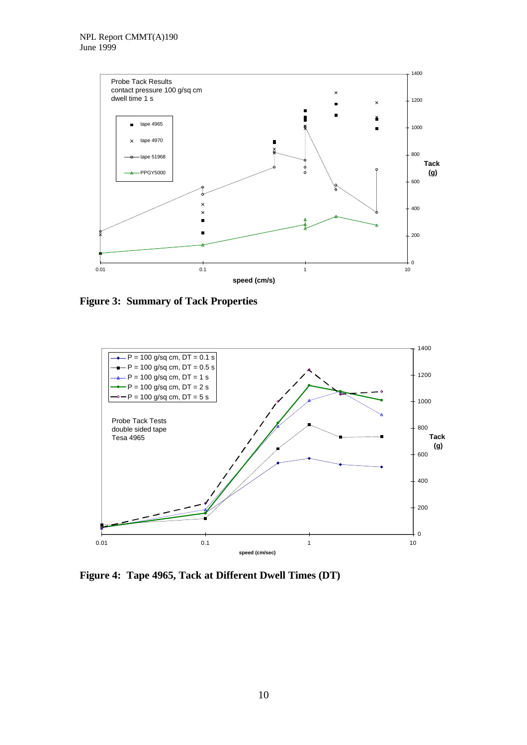

**Figure 3: Summary of Tack Properties**



**Figure 4: Tape 4965, Tack at Different Dwell Times (DT)**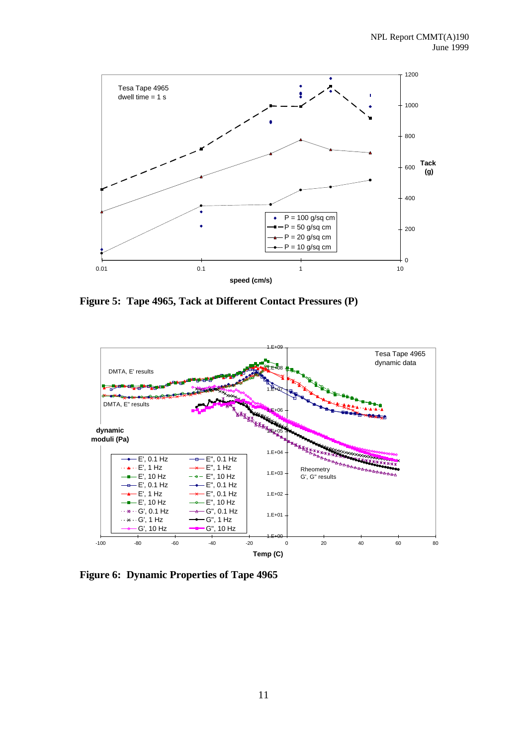

**Figure 5: Tape 4965, Tack at Different Contact Pressures (P)**



**Figure 6: Dynamic Properties of Tape 4965**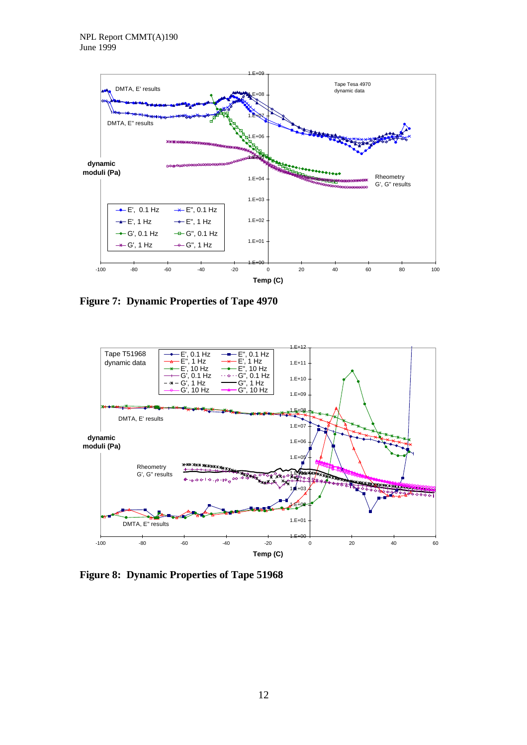

**Figure 7: Dynamic Properties of Tape 4970**



**Figure 8: Dynamic Properties of Tape 51968**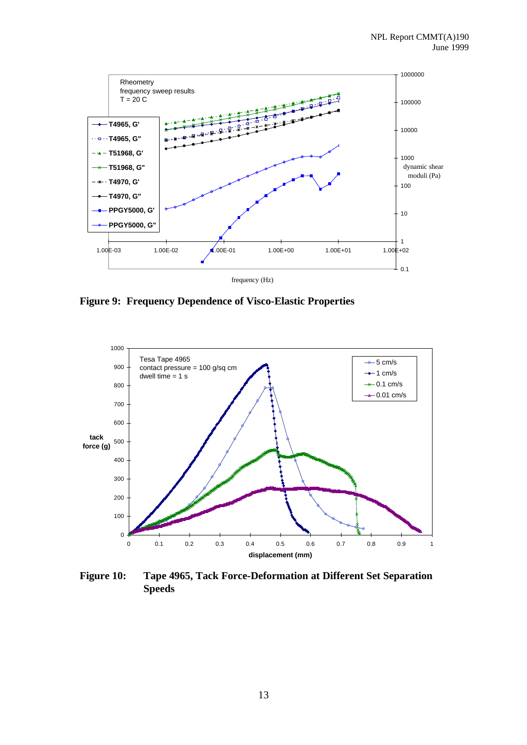

**Figure 9: Frequency Dependence of Visco-Elastic Properties**



**Figure 10: Tape 4965, Tack Force-Deformation at Different Set Separation Speeds**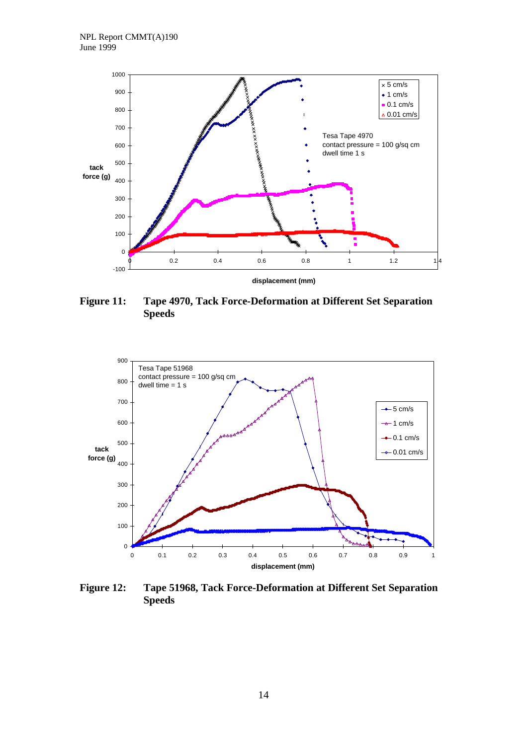

**displacement (mm)**

**Figure 11: Tape 4970, Tack Force-Deformation at Different Set Separation Speeds**



**Figure 12: Tape 51968, Tack Force-Deformation at Different Set Separation Speeds**